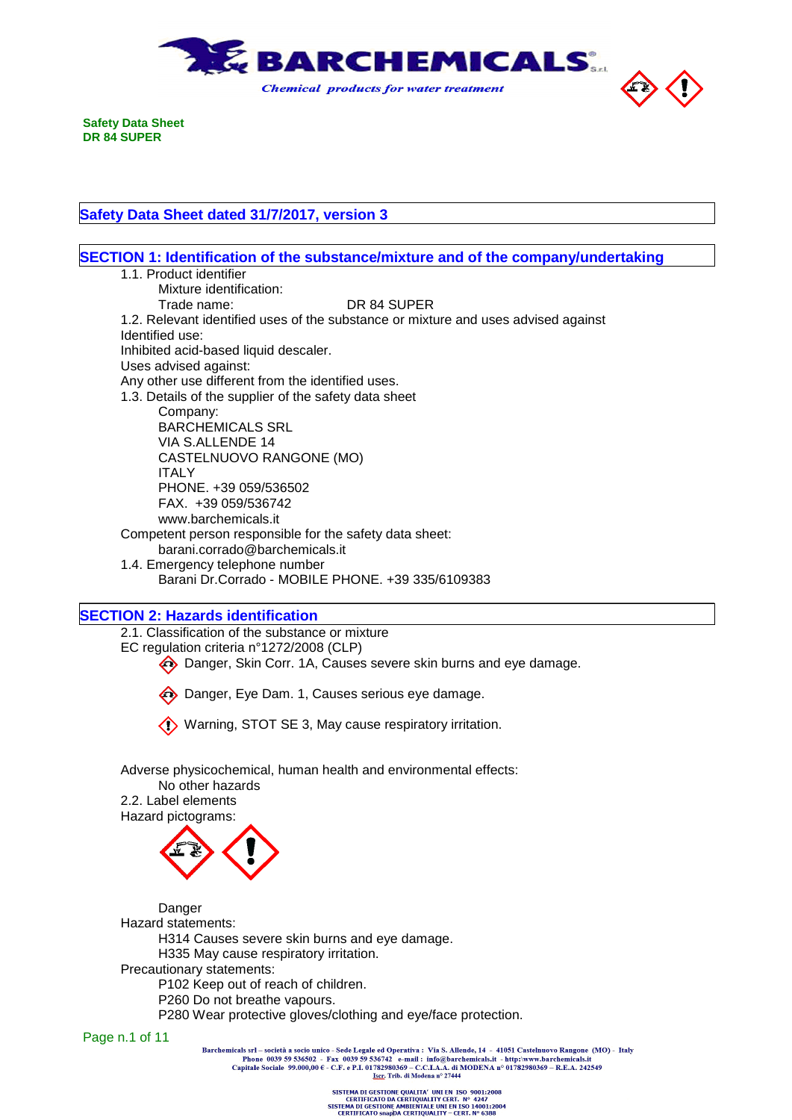

**Safety Data Sheet dated 31/7/2017, version 3**

| SECTION 1: Identification of the substance/mixture and of the company/undertaking  |
|------------------------------------------------------------------------------------|
| 1.1. Product identifier                                                            |
| Mixture identification:                                                            |
| Trade name:<br>DR 84 SUPER                                                         |
| 1.2. Relevant identified uses of the substance or mixture and uses advised against |
| Identified use:                                                                    |
| Inhibited acid-based liquid descaler.                                              |
| Uses advised against:                                                              |
| Any other use different from the identified uses.                                  |
| 1.3. Details of the supplier of the safety data sheet                              |
| Company:                                                                           |
| <b>BARCHEMICALS SRL</b>                                                            |
| VIA S.ALLENDE 14                                                                   |
| CASTELNUOVO RANGONE (MO)                                                           |
| <b>ITALY</b>                                                                       |
| PHONE. +39 059/536502                                                              |
| FAX. +39 059/536742                                                                |
| www.barchemicals.it                                                                |
| Competent person responsible for the safety data sheet:                            |
| barani.corrado@barchemicals.it                                                     |
| 1.4. Emergency telephone number                                                    |
| Barani Dr. Corrado - MOBILE PHONE. +39 335/6109383                                 |
|                                                                                    |
| <b>SECTION 2: Hazards identification</b>                                           |

**SECTION 2: Hazards identification**

2.1. Classification of the substance or mixture EC regulation criteria n°1272/2008 (CLP) Danger, Skin Corr. 1A, Causes severe skin burns and eye damage.

Danger, Eye Dam. 1, Causes serious eye damage.

Warning, STOT SE 3, May cause respiratory irritation.

Adverse physicochemical, human health and environmental effects: No other hazards

2.2. Label elements Hazard pictograms:



Danger Hazard statements: H314 Causes severe skin burns and eye damage. H335 May cause respiratory irritation. Precautionary statements: P102 Keep out of reach of children. P260 Do not breathe vapours.

P280 Wear protective gloves/clothing and eye/face protection.

Page n.1 of 11

Barchemicals srl – società a socio unico - Sede Legale ed Operativa : Via S. Allende, 14 - 41051 Castelnuovo Rangone (MO) - Italy<br>Phone 0039 59 536502 - Fax 0039 59 536742 e-mail : info@barchemicals.it - http://www.barche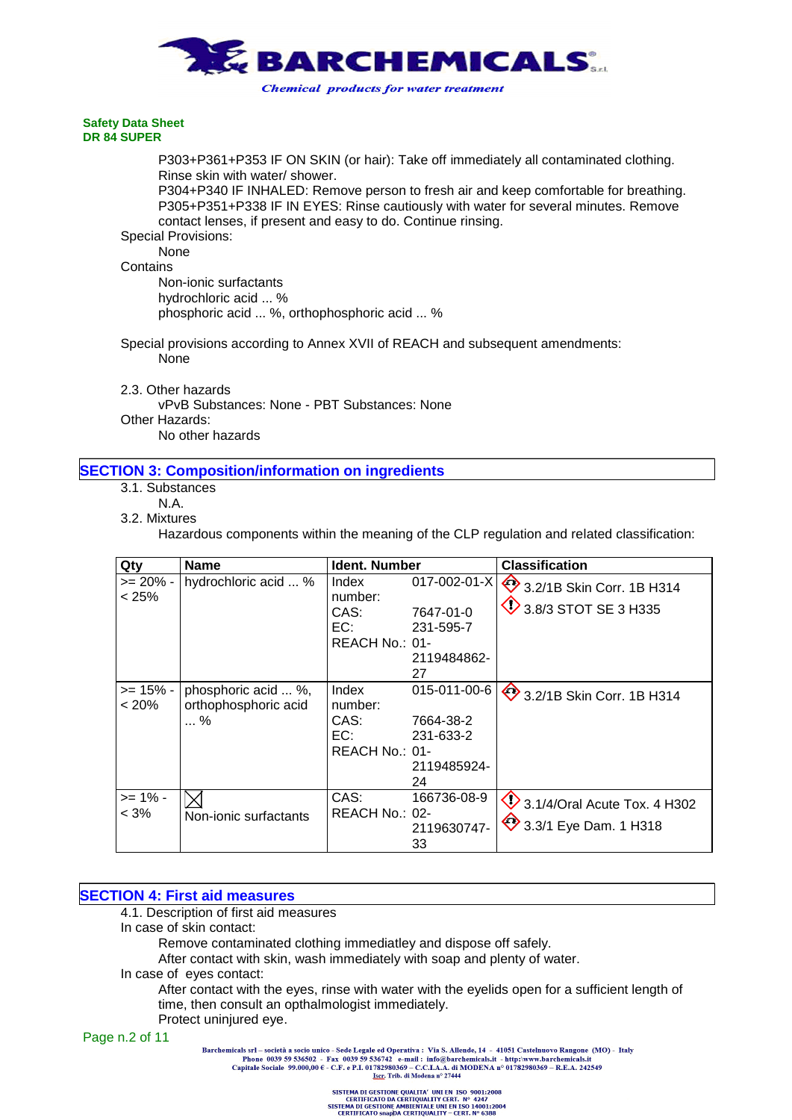

P303+P361+P353 IF ON SKIN (or hair): Take off immediately all contaminated clothing. Rinse skin with water/ shower.

P304+P340 IF INHALED: Remove person to fresh air and keep comfortable for breathing. P305+P351+P338 IF IN EYES: Rinse cautiously with water for several minutes. Remove contact lenses, if present and easy to do. Continue rinsing.

Special Provisions:

None **Contains** 

Non-ionic surfactants hydrochloric acid ... % phosphoric acid ... %, orthophosphoric acid ... %

Special provisions according to Annex XVII of REACH and subsequent amendments: None

2.3. Other hazards

vPvB Substances: None - PBT Substances: None Other Hazards: No other hazards

### **SECTION 3: Composition/information on ingredients**

- 3.1. Substances
	- N.A.
- 3.2. Mixtures

Hazardous components within the meaning of the CLP regulation and related classification:

| Qty                   | <b>Name</b>                                      | <b>Ident. Number</b>                                                                    |                                     | <b>Classification</b>                                            |
|-----------------------|--------------------------------------------------|-----------------------------------------------------------------------------------------|-------------------------------------|------------------------------------------------------------------|
| >= 20% -<br>$< 25\%$  | hydrochloric acid  %                             | Index<br>number:<br>CAS:<br>7647-01-0<br>EC:<br>231-595-7<br>REACH No.: 01-             | $017 - 002 - 01 - X$<br>2119484862- | 3.2/1B Skin Corr. 1B H314<br>$\bigcirc$ 3.8/3 STOT SE 3 H335     |
| >= 15% -<br>$< 20\%$  | phosphoric acid  %,<br>orthophosphoric acid<br>% | 27<br>Index<br>number:<br>CAS:<br>7664-38-2<br>EC:<br>231-633-2<br>REACH No.: 01-<br>24 | 015-011-00-6<br>2119485924-         | 3.2/1B Skin Corr. 1B H314                                        |
| $>= 1\%$ -<br>$< 3\%$ | Non-ionic surfactants                            | CAS:<br>REACH No.: 02-<br>33                                                            | 166736-08-9<br>2119630747-          | $\bigcirc$ 3.1/4/Oral Acute Tox. 4 H302<br>3.3/1 Eye Dam. 1 H318 |

### **SECTION 4: First aid measures**

4.1. Description of first aid measures

In case of skin contact:

Remove contaminated clothing immediatley and dispose off safely.

After contact with skin, wash immediately with soap and plenty of water.

In case of eyes contact:

After contact with the eyes, rinse with water with the eyelids open for a sufficient length of time, then consult an opthalmologist immediately.

Protect uninjured eye.

Page n.2 of 11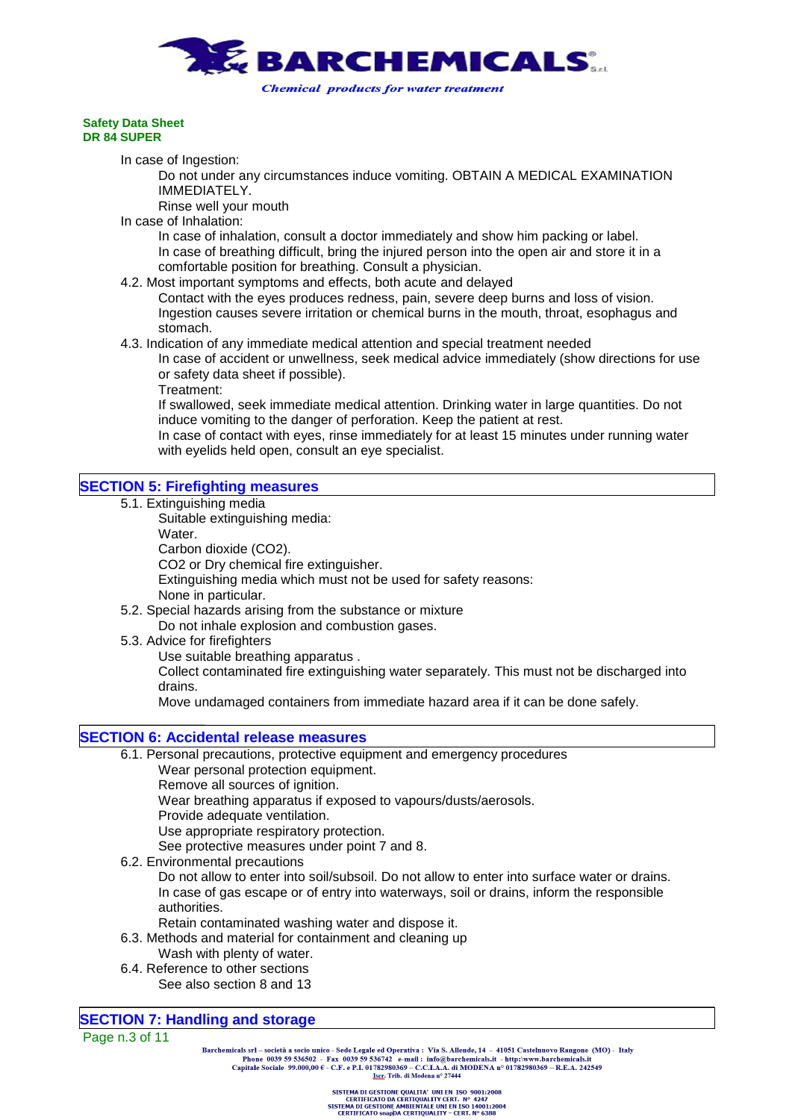

In case of Ingestion:

Do not under any circumstances induce vomiting. OBTAIN A MEDICAL EXAMINATION IMMEDIATELY.

Rinse well your mouth

In case of Inhalation:

In case of inhalation, consult a doctor immediately and show him packing or label. In case of breathing difficult, bring the injured person into the open air and store it in a comfortable position for breathing. Consult a physician.

4.2. Most important symptoms and effects, both acute and delayed

Contact with the eyes produces redness, pain, severe deep burns and loss of vision. Ingestion causes severe irritation or chemical burns in the mouth, throat, esophagus and stomach.

4.3. Indication of any immediate medical attention and special treatment needed

In case of accident or unwellness, seek medical advice immediately (show directions for use or safety data sheet if possible).

Treatment:

If swallowed, seek immediate medical attention. Drinking water in large quantities. Do not induce vomiting to the danger of perforation. Keep the patient at rest.

In case of contact with eyes, rinse immediately for at least 15 minutes under running water with eyelids held open, consult an eye specialist.

# **SECTION 5: Firefighting measures**

5.1. Extinguishing media

Suitable extinguishing media: Water. Carbon dioxide (CO2). CO2 or Dry chemical fire extinguisher. Extinguishing media which must not be used for safety reasons: None in particular.

- 5.2. Special hazards arising from the substance or mixture Do not inhale explosion and combustion gases.
- 5.3. Advice for firefighters

Use suitable breathing apparatus .

Collect contaminated fire extinguishing water separately. This must not be discharged into drains.

Move undamaged containers from immediate hazard area if it can be done safely.

### **SECTION 6: Accidental release measures**

6.1. Personal precautions, protective equipment and emergency procedures

Wear personal protection equipment.

Remove all sources of ignition.

Wear breathing apparatus if exposed to vapours/dusts/aerosols.

Provide adequate ventilation.

Use appropriate respiratory protection.

See protective measures under point 7 and 8.

6.2. Environmental precautions

Do not allow to enter into soil/subsoil. Do not allow to enter into surface water or drains. In case of gas escape or of entry into waterways, soil or drains, inform the responsible authorities.

- Retain contaminated washing water and dispose it.
- 6.3. Methods and material for containment and cleaning up
	- Wash with plenty of water.
- 6.4. Reference to other sections
	- See also section 8 and 13

### **SECTION 7: Handling and storage**

Page n.3 of 11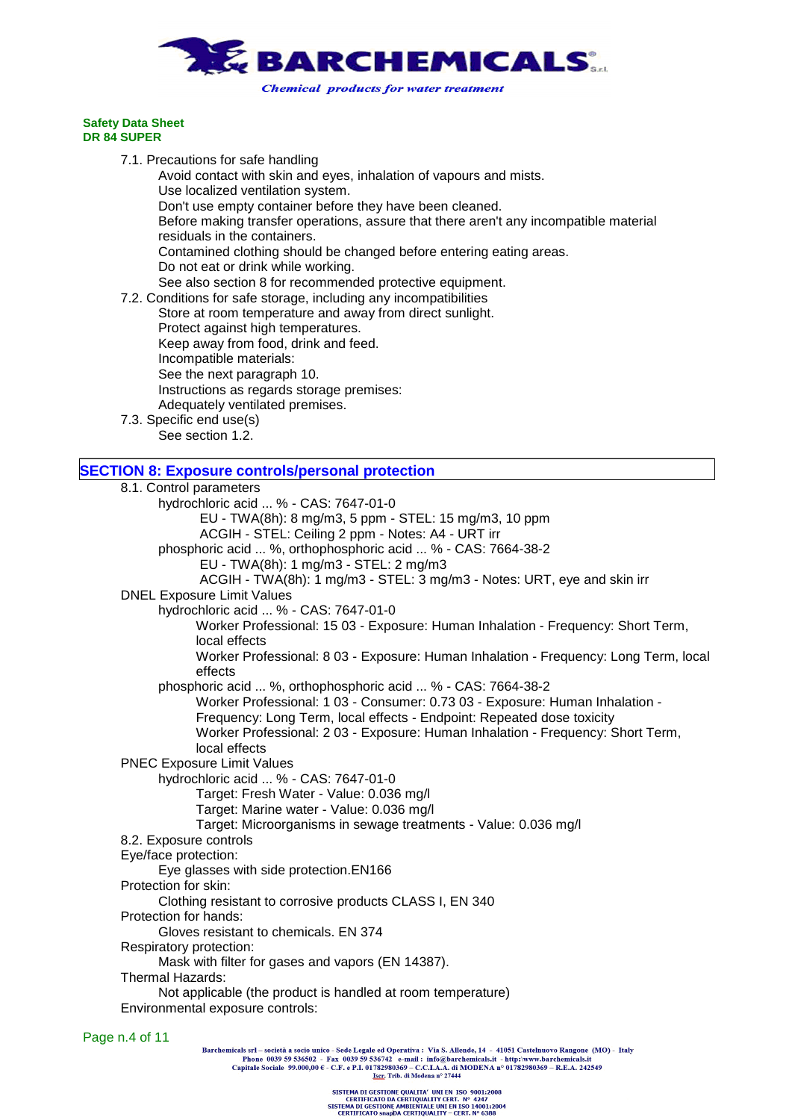

7.1. Precautions for safe handling Avoid contact with skin and eyes, inhalation of vapours and mists. Use localized ventilation system. Don't use empty container before they have been cleaned. Before making transfer operations, assure that there aren't any incompatible material residuals in the containers. Contamined clothing should be changed before entering eating areas. Do not eat or drink while working. See also section 8 for recommended protective equipment. 7.2. Conditions for safe storage, including any incompatibilities Store at room temperature and away from direct sunlight. Protect against high temperatures. Keep away from food, drink and feed. Incompatible materials: See the next paragraph 10. Instructions as regards storage premises: Adequately ventilated premises. 7.3. Specific end use(s) See section 1.2. **SECTION 8: Exposure controls/personal protection** 8.1. Control parameters hydrochloric acid ... % - CAS: 7647-01-0 EU - TWA(8h): 8 mg/m3, 5 ppm - STEL: 15 mg/m3, 10 ppm ACGIH - STEL: Ceiling 2 ppm - Notes: A4 - URT irr phosphoric acid ... %, orthophosphoric acid ... % - CAS: 7664-38-2 EU - TWA(8h): 1 mg/m3 - STEL: 2 mg/m3 ACGIH - TWA(8h): 1 mg/m3 - STEL: 3 mg/m3 - Notes: URT, eye and skin irr DNEL Exposure Limit Values hydrochloric acid ... % - CAS: 7647-01-0 Worker Professional: 15 03 - Exposure: Human Inhalation - Frequency: Short Term,

local effects Worker Professional: 8 03 - Exposure: Human Inhalation - Frequency: Long Term, local effects

phosphoric acid ... %, orthophosphoric acid ... % - CAS: 7664-38-2

Worker Professional: 1 03 - Consumer: 0.73 03 - Exposure: Human Inhalation - Frequency: Long Term, local effects - Endpoint: Repeated dose toxicity

Worker Professional: 2 03 - Exposure: Human Inhalation - Frequency: Short Term, local effects

PNEC Exposure Limit Values

hydrochloric acid ... % - CAS: 7647-01-0

Target: Fresh Water - Value: 0.036 mg/l

Target: Marine water - Value: 0.036 mg/l

Target: Microorganisms in sewage treatments - Value: 0.036 mg/l

8.2. Exposure controls

Eye/face protection:

Eye glasses with side protection.EN166

Protection for skin:

Clothing resistant to corrosive products CLASS I, EN 340

Protection for hands:

Gloves resistant to chemicals. EN 374

Respiratory protection:

Mask with filter for gases and vapors (EN 14387).

Thermal Hazards:

Not applicable (the product is handled at room temperature) Environmental exposure controls:

Page n.4 of 11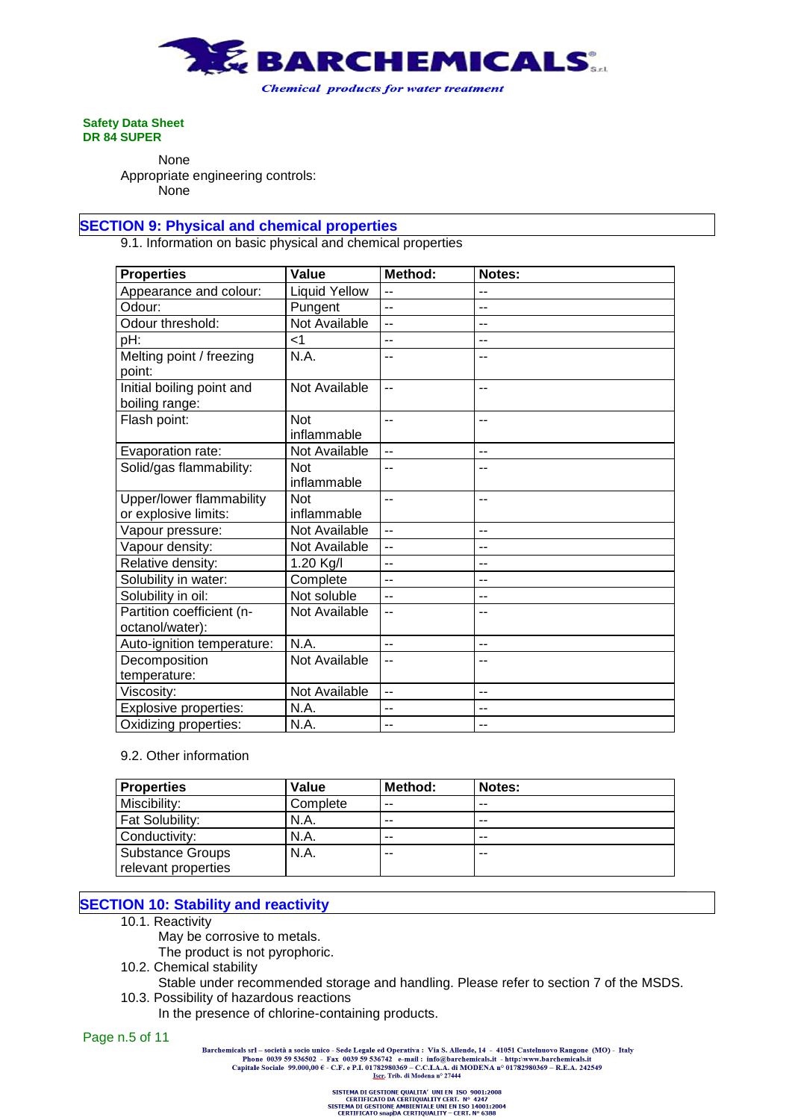

None Appropriate engineering controls: None

## **SECTION 9: Physical and chemical properties**

9.1. Information on basic physical and chemical properties

| <b>Properties</b>                            | Value                     | Method:                  | Notes: |
|----------------------------------------------|---------------------------|--------------------------|--------|
| Appearance and colour:                       | <b>Liquid Yellow</b>      | $-$                      | --     |
| Odour:                                       | Pungent                   | $-$                      | --     |
| Odour threshold:                             | Not Available             | $-$                      | --     |
| pH:                                          | $<$ 1                     | $-$                      | --     |
| Melting point / freezing<br>point:           | N.A.                      | --                       |        |
| Initial boiling point and<br>boiling range:  | Not Available             | $-$                      | --     |
| Flash point:                                 | Not<br>inflammable        | $-$                      | --     |
| Evaporation rate:                            | Not Available             | $\overline{a}$           | --     |
| Solid/gas flammability:                      | <b>Not</b><br>inflammable | --                       |        |
| Upper/lower flammability                     | <b>Not</b>                | $-$                      | --     |
| or explosive limits:                         | inflammable               |                          |        |
| Vapour pressure:                             | Not Available             | $-$                      | $-$    |
| Vapour density:                              | Not Available             | --                       | --     |
| Relative density:                            | 1.20 Kg/I                 | $\overline{\phantom{a}}$ | --     |
| Solubility in water:                         | Complete                  | $-$                      | --     |
| Solubility in oil:                           | Not soluble               | $\overline{a}$           | --     |
| Partition coefficient (n-<br>octanol/water): | Not Available             | --                       |        |
| Auto-ignition temperature:                   | N.A.                      | $-$                      | --     |
| Decomposition                                | Not Available             | $\overline{\phantom{a}}$ | --     |
| temperature:                                 |                           |                          |        |
| Viscosity:                                   | Not Available             | $\sim$                   | --     |
| Explosive properties:                        | N.A.                      | --                       | --     |
| Oxidizing properties:                        | N.A.                      | --                       | --     |

### 9.2. Other information

| <b>Properties</b>      | Value    | Method: | Notes: |
|------------------------|----------|---------|--------|
| Miscibility:           | Complete | --      | $- -$  |
| <b>Fat Solubility:</b> | N.A.     | --      | $- -$  |
| Conductivity:          | N.A.     | $- -$   | $- -$  |
| Substance Groups       | N.A.     | --      | --     |
| relevant properties    |          |         |        |

# **SECTION 10: Stability and reactivity**

10.1. Reactivity

May be corrosive to metals.

- The product is not pyrophoric.
- 10.2. Chemical stability
- Stable under recommended storage and handling. Please refer to section 7 of the MSDS. 10.3. Possibility of hazardous reactions
	- In the presence of chlorine-containing products.

Page n.5 of 11

Barchemicals srl – società a socio unico - Sede Legale ed Operativa : Via S. Allende, 14 - 41051 Castelnuovo Rangone (MO) - Italy<br>Phone 0039 59 536502 - Fax 0039 59 536742 e-mail : info@barchemicals.it - http://www.barche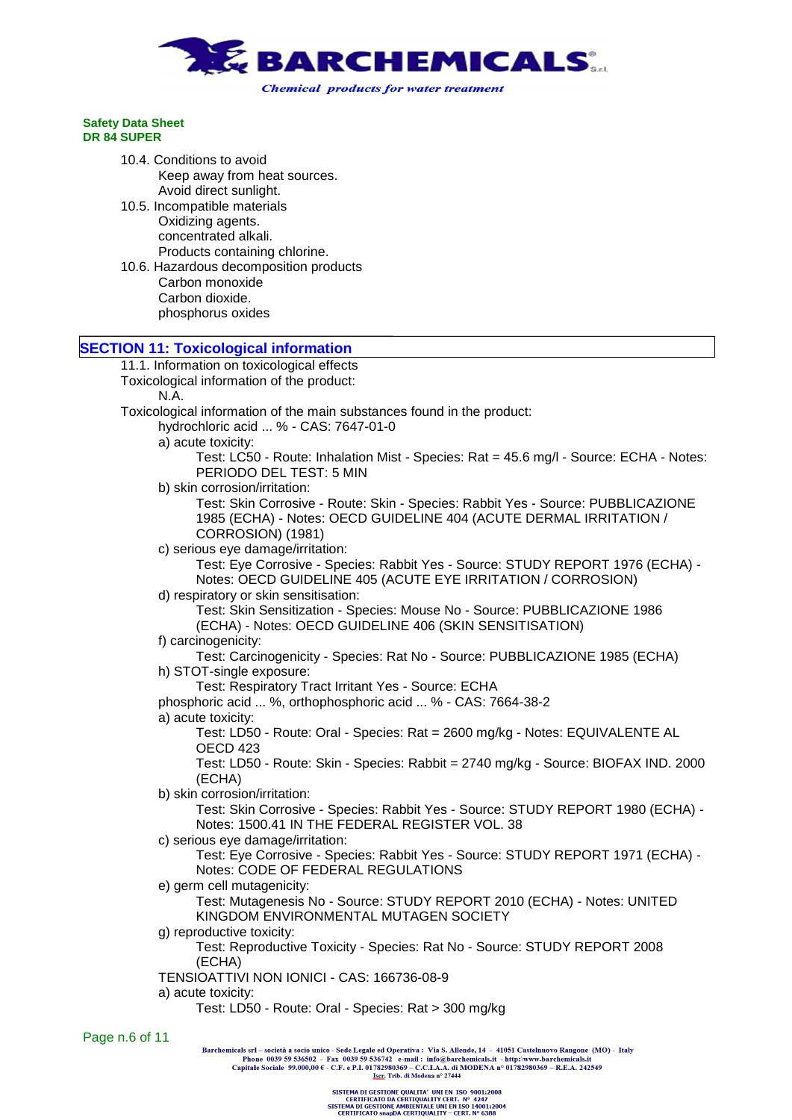

10.4. Conditions to avoid Keep away from heat sources. Avoid direct sunlight. 10.5. Incompatible materials Oxidizing agents. concentrated alkali. Products containing chlorine. 10.6. Hazardous decomposition products Carbon monoxide Carbon dioxide. phosphorus oxides

### **SECTION 11: Toxicological information**

11.1. Information on toxicological effects Toxicological information of the product: N.A. Toxicological information of the main substances found in the product: hydrochloric acid ... % - CAS: 7647-01-0 a) acute toxicity: Test: LC50 - Route: Inhalation Mist - Species: Rat = 45.6 mg/l - Source: ECHA - Notes: PERIODO DEL TEST: 5 MIN b) skin corrosion/irritation: Test: Skin Corrosive - Route: Skin - Species: Rabbit Yes - Source: PUBBLICAZIONE 1985 (ECHA) - Notes: OECD GUIDELINE 404 (ACUTE DERMAL IRRITATION / CORROSION) (1981) c) serious eye damage/irritation: Test: Eye Corrosive - Species: Rabbit Yes - Source: STUDY REPORT 1976 (ECHA) - Notes: OECD GUIDELINE 405 (ACUTE EYE IRRITATION / CORROSION) d) respiratory or skin sensitisation: Test: Skin Sensitization - Species: Mouse No - Source: PUBBLICAZIONE 1986 (ECHA) - Notes: OECD GUIDELINE 406 (SKIN SENSITISATION) f) carcinogenicity: Test: Carcinogenicity - Species: Rat No - Source: PUBBLICAZIONE 1985 (ECHA) h) STOT-single exposure: Test: Respiratory Tract Irritant Yes - Source: ECHA phosphoric acid ... %, orthophosphoric acid ... % - CAS: 7664-38-2 a) acute toxicity: Test: LD50 - Route: Oral - Species: Rat = 2600 mg/kg - Notes: EQUIVALENTE AL OECD 423 Test: LD50 - Route: Skin - Species: Rabbit = 2740 mg/kg - Source: BIOFAX IND. 2000 (ECHA) b) skin corrosion/irritation: Test: Skin Corrosive - Species: Rabbit Yes - Source: STUDY REPORT 1980 (ECHA) - Notes: 1500.41 IN THE FEDERAL REGISTER VOL. 38 c) serious eye damage/irritation: Test: Eye Corrosive - Species: Rabbit Yes - Source: STUDY REPORT 1971 (ECHA) - Notes: CODE OF FEDERAL REGULATIONS e) germ cell mutagenicity: Test: Mutagenesis No - Source: STUDY REPORT 2010 (ECHA) - Notes: UNITED KINGDOM ENVIRONMENTAL MUTAGEN SOCIETY g) reproductive toxicity: Test: Reproductive Toxicity - Species: Rat No - Source: STUDY REPORT 2008 (ECHA) TENSIOATTIVI NON IONICI - CAS: 166736-08-9 a) acute toxicity: Test: LD50 - Route: Oral - Species: Rat > 300 mg/kg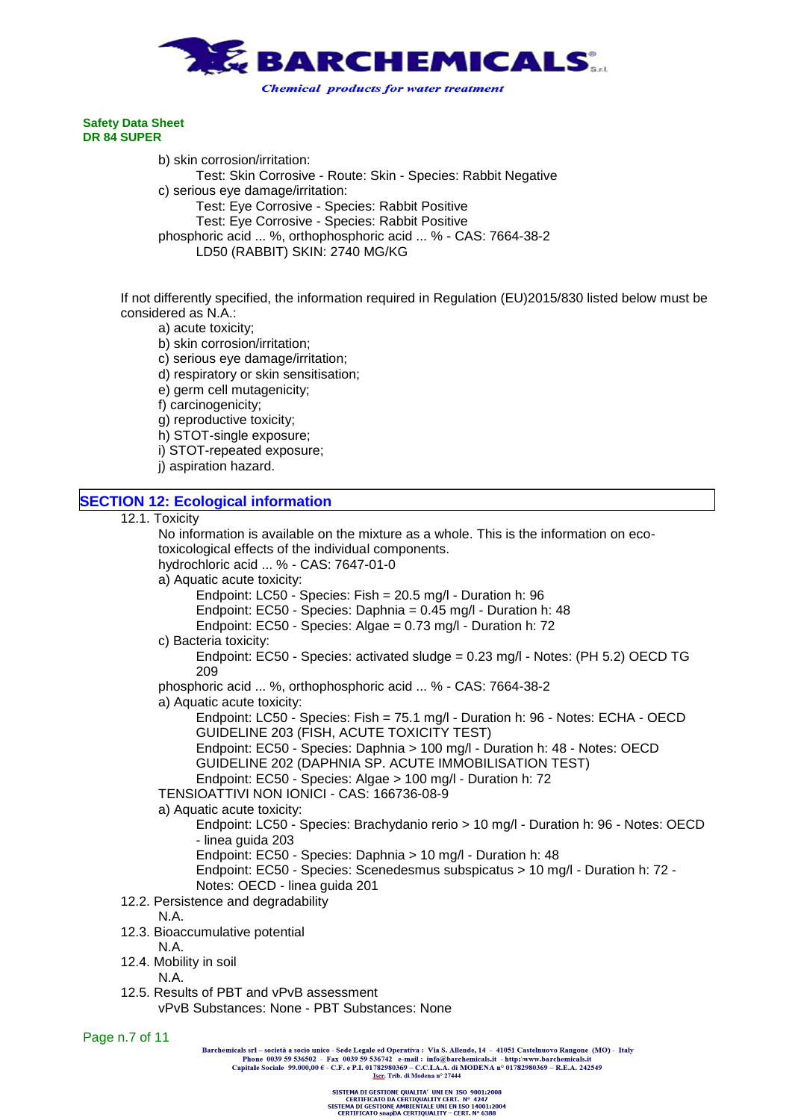

b) skin corrosion/irritation: Test: Skin Corrosive - Route: Skin - Species: Rabbit Negative c) serious eye damage/irritation: Test: Eye Corrosive - Species: Rabbit Positive Test: Eye Corrosive - Species: Rabbit Positive phosphoric acid ... %, orthophosphoric acid ... % - CAS: 7664-38-2 LD50 (RABBIT) SKIN: 2740 MG/KG

If not differently specified, the information required in Regulation (EU)2015/830 listed below must be considered as N.A.:

a) acute toxicity;

- b) skin corrosion/irritation;
- c) serious eye damage/irritation;
- d) respiratory or skin sensitisation;
- e) germ cell mutagenicity;
- f) carcinogenicity;
- g) reproductive toxicity;
- h) STOT-single exposure;
- i) STOT-repeated exposure;
- j) aspiration hazard.

| <b>SECTION 12: Ecological information</b>                                              |
|----------------------------------------------------------------------------------------|
| 12.1. Toxicity                                                                         |
| No information is available on the mixture as a whole. This is the information on eco- |
| toxicological effects of the individual components.                                    |
| hydrochloric acid  % - CAS: 7647-01-0                                                  |

a) Aquatic acute toxicity:

Endpoint: LC50 - Species: Fish = 20.5 mg/l - Duration h: 96

- Endpoint: EC50 Species: Daphnia = 0.45 mg/l Duration h: 48
- Endpoint: EC50 Species: Algae = 0.73 mg/l Duration h: 72

c) Bacteria toxicity:

Endpoint: EC50 - Species: activated sludge = 0.23 mg/l - Notes: (PH 5.2) OECD TG 209

phosphoric acid ... %, orthophosphoric acid ... % - CAS: 7664-38-2

a) Aquatic acute toxicity:

Endpoint: LC50 - Species: Fish = 75.1 mg/l - Duration h: 96 - Notes: ECHA - OECD GUIDELINE 203 (FISH, ACUTE TOXICITY TEST)

Endpoint: EC50 - Species: Daphnia > 100 mg/l - Duration h: 48 - Notes: OECD GUIDELINE 202 (DAPHNIA SP. ACUTE IMMOBILISATION TEST)

Endpoint: EC50 - Species: Algae > 100 mg/l - Duration h: 72

TENSIOATTIVI NON IONICI - CAS: 166736-08-9

### a) Aquatic acute toxicity:

Endpoint: LC50 - Species: Brachydanio rerio > 10 mg/l - Duration h: 96 - Notes: OECD - linea guida 203

Endpoint: EC50 - Species: Daphnia > 10 mg/l - Duration h: 48

- Endpoint: EC50 Species: Scenedesmus subspicatus > 10 mg/l Duration h: 72 -
- Notes: OECD linea guida 201
- 12.2. Persistence and degradability

N.A.

- 12.3. Bioaccumulative potential
	- N.A.
- 12.4. Mobility in soil

N.A.

12.5. Results of PBT and vPvB assessment vPvB Substances: None - PBT Substances: None

Page n.7 of 11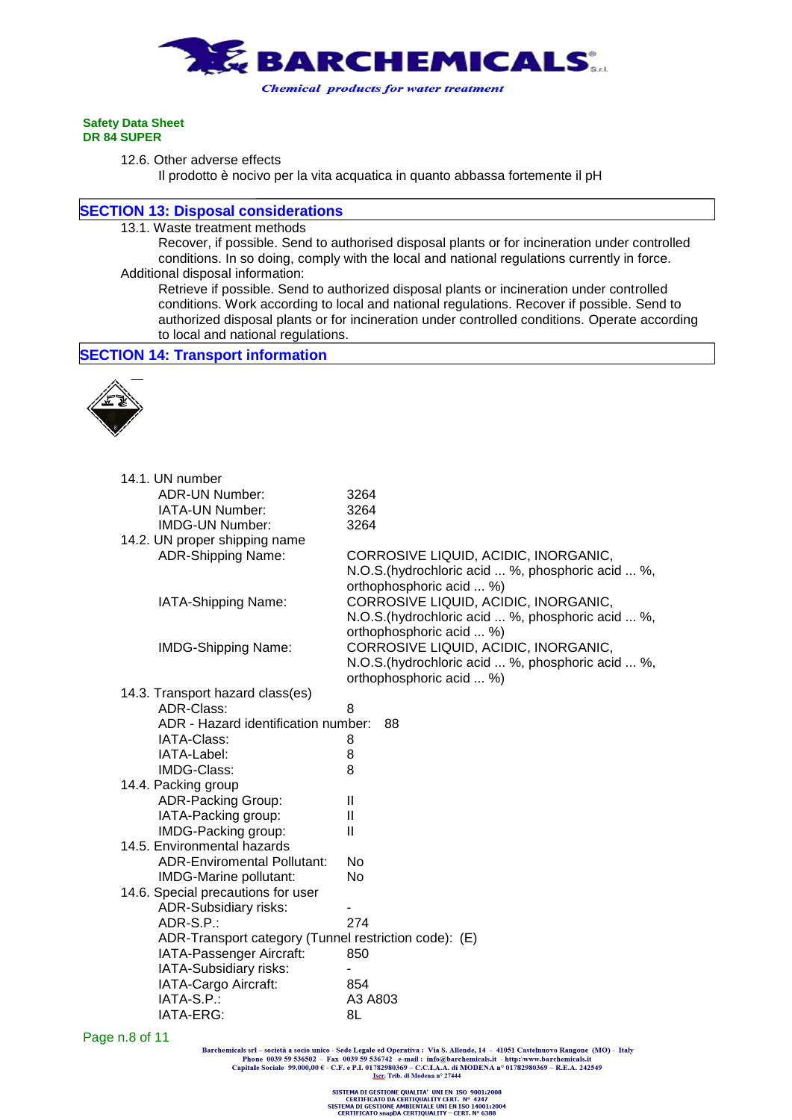

12.6. Other adverse effects

Il prodotto è nocivo per la vita acquatica in quanto abbassa fortemente il pH

### **SECTION 13: Disposal considerations**

13.1. Waste treatment methods

Recover, if possible. Send to authorised disposal plants or for incineration under controlled conditions. In so doing, comply with the local and national regulations currently in force. Additional disposal information:

Retrieve if possible. Send to authorized disposal plants or incineration under controlled conditions. Work according to local and national regulations. Recover if possible. Send to authorized disposal plants or for incineration under controlled conditions. Operate according to local and national regulations.

```
SECTION 14: Transport information
```


| 14.1. UN number                                       |                                                   |
|-------------------------------------------------------|---------------------------------------------------|
| <b>ADR-UN Number:</b>                                 | 3264                                              |
| IATA-UN Number:                                       | 3264                                              |
| <b>IMDG-UN Number:</b>                                | 3264                                              |
| 14.2. UN proper shipping name                         |                                                   |
| <b>ADR-Shipping Name:</b>                             | CORROSIVE LIQUID, ACIDIC, INORGANIC,              |
|                                                       | N.O.S.(hydrochloric acid  %, phosphoric acid  %,  |
|                                                       | orthophosphoric acid  %)                          |
| IATA-Shipping Name:                                   | CORROSIVE LIQUID, ACIDIC, INORGANIC,              |
|                                                       | N.O.S. (hydrochloric acid  %, phosphoric acid  %, |
|                                                       | orthophosphoric acid  %)                          |
| <b>IMDG-Shipping Name:</b>                            | CORROSIVE LIQUID, ACIDIC, INORGANIC,              |
|                                                       | N.O.S. (hydrochloric acid  %, phosphoric acid  %, |
|                                                       | orthophosphoric acid  %)                          |
| 14.3. Transport hazard class(es)                      |                                                   |
| ADR-Class:                                            | 8                                                 |
| ADR - Hazard identification number:                   | 88                                                |
| IATA-Class:                                           | 8                                                 |
| IATA-Label:                                           | 8                                                 |
| IMDG-Class:                                           | 8                                                 |
| 14.4. Packing group                                   |                                                   |
| <b>ADR-Packing Group:</b>                             | Ш                                                 |
| IATA-Packing group:                                   | $\mathbf{I}$                                      |
| IMDG-Packing group:                                   | Ш                                                 |
| 14.5. Environmental hazards                           |                                                   |
| <b>ADR-Enviromental Pollutant:</b>                    | No.                                               |
| IMDG-Marine pollutant:                                | No                                                |
| 14.6. Special precautions for user                    |                                                   |
| <b>ADR-Subsidiary risks:</b>                          |                                                   |
| ADR-S.P.:                                             | 274                                               |
| ADR-Transport category (Tunnel restriction code): (E) |                                                   |
| IATA-Passenger Aircraft:                              | 850                                               |
| IATA-Subsidiary risks:                                |                                                   |
| IATA-Cargo Aircraft:                                  | 854                                               |
| IATA-S.P.:                                            | A3 A803                                           |
| IATA-ERG:                                             | 8L                                                |

Page n.8 of 11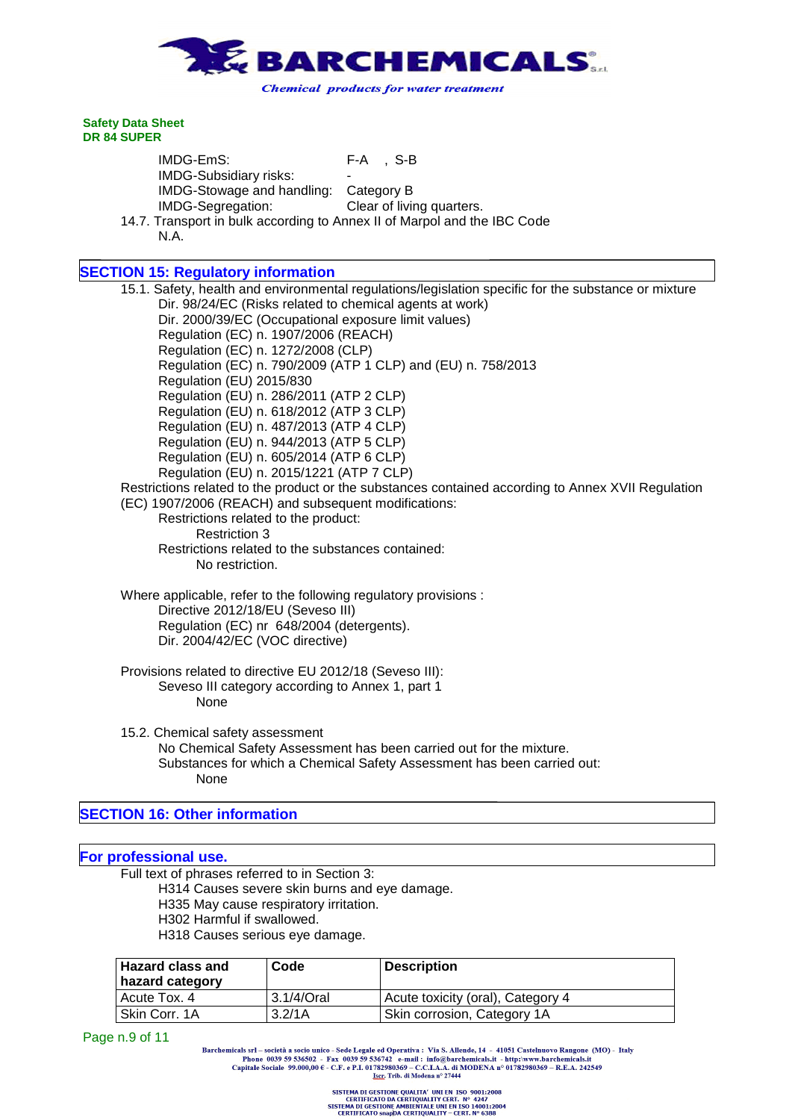

IMDG-EmS: F-A , S-B IMDG-Subsidiary risks: - IMDG-Stowage and handling: Category B IMDG-Segregation: Clear of living quarters.

14.7. Transport in bulk according to Annex II of Marpol and the IBC Code N.A.

# **SECTION 15: Regulatory information**

15.1. Safety, health and environmental regulations/legislation specific for the substance or mixture Dir. 98/24/EC (Risks related to chemical agents at work) Dir. 2000/39/EC (Occupational exposure limit values) Regulation (EC) n. 1907/2006 (REACH) Regulation (EC) n. 1272/2008 (CLP) Regulation (EC) n. 790/2009 (ATP 1 CLP) and (EU) n. 758/2013 Regulation (EU) 2015/830 Regulation (EU) n. 286/2011 (ATP 2 CLP) Regulation (EU) n. 618/2012 (ATP 3 CLP) Regulation (EU) n. 487/2013 (ATP 4 CLP) Regulation (EU) n. 944/2013 (ATP 5 CLP) Regulation (EU) n. 605/2014 (ATP 6 CLP) Regulation (EU) n. 2015/1221 (ATP 7 CLP) Restrictions related to the product or the substances contained according to Annex XVII Regulation (EC) 1907/2006 (REACH) and subsequent modifications: Restrictions related to the product: Restriction 3 Restrictions related to the substances contained: No restriction. Where applicable, refer to the following regulatory provisions : Directive 2012/18/EU (Seveso III) Regulation (EC) nr 648/2004 (detergents). Dir. 2004/42/EC (VOC directive) Provisions related to directive EU 2012/18 (Seveso III): Seveso III category according to Annex 1, part 1 None 15.2. Chemical safety assessment No Chemical Safety Assessment has been carried out for the mixture. Substances for which a Chemical Safety Assessment has been carried out: None

# **SECTION 16: Other information**

### **For professional use.**

Full text of phrases referred to in Section 3:

H314 Causes severe skin burns and eye damage. H335 May cause respiratory irritation. H302 Harmful if swallowed.

H318 Causes serious eye damage.

| <b>Hazard class and</b><br>hazard category | Code          | <b>Description</b>                |
|--------------------------------------------|---------------|-----------------------------------|
| Acute Tox, 4                               | $3.1/4$ /Oral | Acute toxicity (oral), Category 4 |
| Skin Corr. 1A                              | 3.2/1A        | Skin corrosion, Category 1A       |

Page n.9 of 11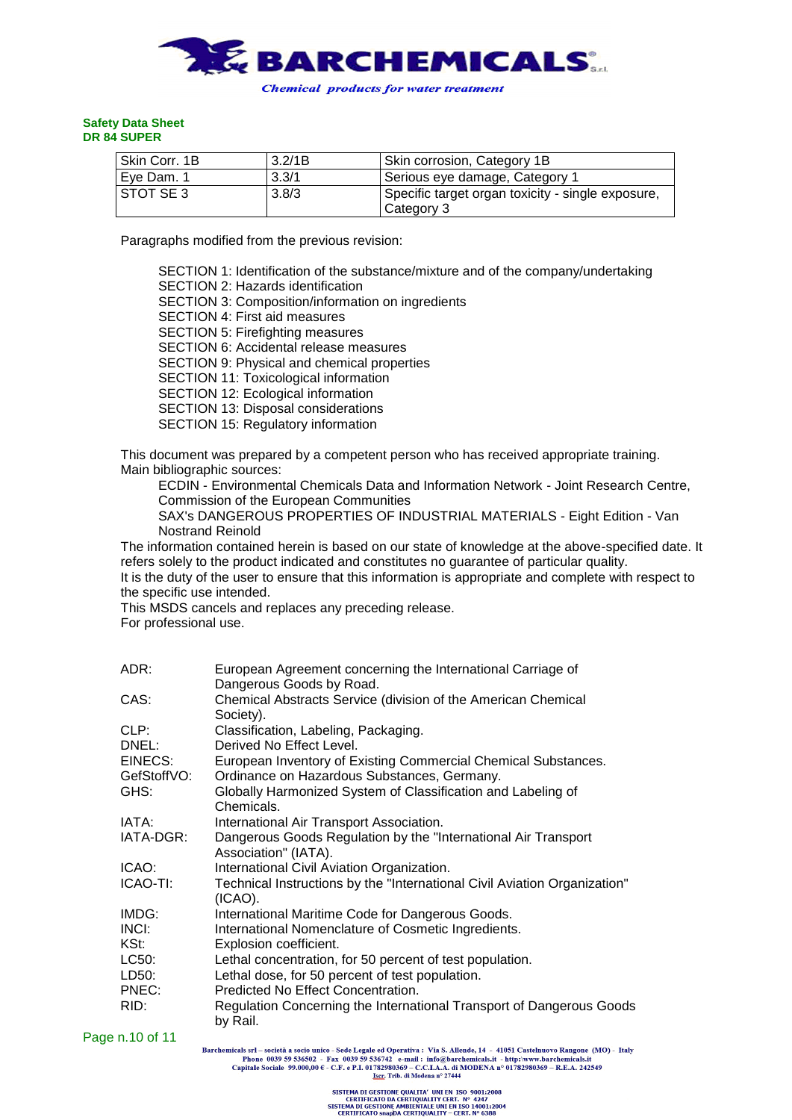

| l Skin Corr. 1B | 3.2/1B | Skin corrosion, Category 1B                       |
|-----------------|--------|---------------------------------------------------|
| Eve Dam. 1      | 3.3/1  | Serious eye damage, Category 1                    |
| I STOT SE 3     | 3.8/3  | Specific target organ toxicity - single exposure, |
|                 |        | Category 3                                        |

Paragraphs modified from the previous revision:

SECTION 1: Identification of the substance/mixture and of the company/undertaking SECTION 2: Hazards identification SECTION 3: Composition/information on ingredients SECTION 4: First aid measures SECTION 5: Firefighting measures SECTION 6: Accidental release measures SECTION 9: Physical and chemical properties SECTION 11: Toxicological information SECTION 12: Ecological information SECTION 13: Disposal considerations SECTION 15: Regulatory information This document was prepared by a competent person who has received appropriate training. Main bibliographic sources: ECDIN - Environmental Chemicals Data and Information Network - Joint Research Centre,

Commission of the European Communities

SAX's DANGEROUS PROPERTIES OF INDUSTRIAL MATERIALS - Eight Edition - Van Nostrand Reinold

The information contained herein is based on our state of knowledge at the above-specified date. It refers solely to the product indicated and constitutes no guarantee of particular quality. It is the duty of the user to ensure that this information is appropriate and complete with respect to the specific use intended.

This MSDS cancels and replaces any preceding release.

For professional use.

| ADR:        | European Agreement concerning the International Carriage of<br>Dangerous Goods by Road. |
|-------------|-----------------------------------------------------------------------------------------|
| CAS:        | Chemical Abstracts Service (division of the American Chemical<br>Society).              |
| CLP:        | Classification, Labeling, Packaging.                                                    |
| DNEL:       | Derived No Effect Level.                                                                |
| EINECS:     | European Inventory of Existing Commercial Chemical Substances.                          |
| GefStoffVO: | Ordinance on Hazardous Substances, Germany.                                             |
| GHS:        | Globally Harmonized System of Classification and Labeling of<br>Chemicals.              |
| IATA:       | International Air Transport Association.                                                |
| IATA-DGR:   | Dangerous Goods Regulation by the "International Air Transport<br>Association" (IATA).  |
| ICAO:       | International Civil Aviation Organization.                                              |
| ICAO-TI:    | Technical Instructions by the "International Civil Aviation Organization"<br>$(ICAO)$ . |
| IMDG:       | International Maritime Code for Dangerous Goods.                                        |
| INCI:       | International Nomenclature of Cosmetic Ingredients.                                     |
| KSt:        | Explosion coefficient.                                                                  |
| LC50:       | Lethal concentration, for 50 percent of test population.                                |
| LD50:       | Lethal dose, for 50 percent of test population.                                         |
| PNEC:       | Predicted No Effect Concentration.                                                      |
| RID:        | Regulation Concerning the International Transport of Dangerous Goods<br>by Rail.        |
|             |                                                                                         |

Page n.10 of 11